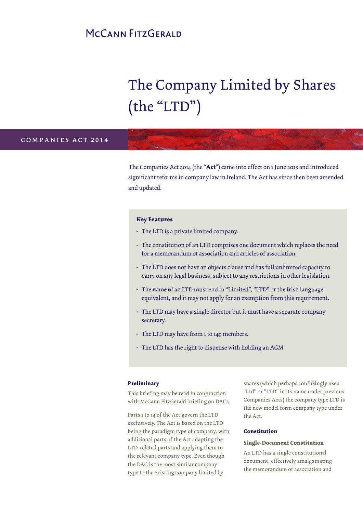# MCCANN FITZGERALD

# The Company Limited by Shares (the "LTD")

# c o m p a n i e s b i l l 2 0 1 2 companies act 2014

The Companies Act 2014 (the "**Act**") came into effect on 1 June 2015 and introduced significant reforms in company law in Ireland. The Act has since then been amended and updated.

### **Key Features**

- The LTD is a private limited company.
- The constitution of an LTD comprises one document which replaces the need for a memorandum of association and articles of association.
- The LTD does not have an objects clause and has full unlimited capacity to carry on any legal business, subject to any restrictions in other legislation.
- The name of an LTD must end in "Limited", "LTD" or the Irish language equivalent, and it may not apply for an exemption from this requirement.
- The LTD may have a single director but it must have a separate company secretary.
- The LTD may have from 1 to 149 members.
- The LTD has the right to dispense with holding an AGM.

### **Preliminary**

This briefing may be read in conjunction with McCann FitzGerald briefing on DACs.

Parts 1 to 14 of the Act govern the LTD exclusively. The Act is based on the LTD being the paradigm type of company, with additional parts of the Act adapting the LTD-related parts and applying them to the relevant company type. Even though the DAC is the most similar company type to the existing company limited by

shares (which perhaps confusingly used "Ltd" or "LTD" in its name under previous Companies Acts) the company type LTD is the new model form company type under the Act.

#### **Constitution**

### **Single-Document Constitution**

An LTD has a single constitutional document, effectively amalgamating the memorandum of association and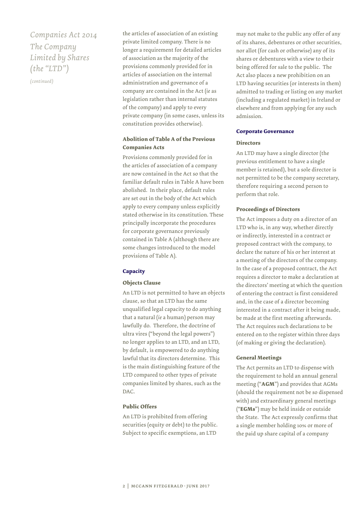# *Companies Act 2014 The Company Limited by Shares (the "LTD")*

*(continued)*

the articles of association of an existing private limited company. There is no longer a requirement for detailed articles of association as the majority of the provisions commonly provided for in articles of association on the internal administration and governance of a company are contained in the Act (*ie* as legislation rather than internal statutes of the company) and apply to every private company (in some cases, unless its constitution provides otherwise).

# **Abolition of Table A of the Previous Companies Acts**

Provisions commonly provided for in the articles of association of a company are now contained in the Act so that the familiar default rules in Table A have been abolished. In their place, default rules are set out in the body of the Act which apply to every company unless explicitly stated otherwise in its constitution. These principally incorporate the procedures for corporate governance previously contained in Table A (although there are some changes introduced to the model provisions of Table A).

# **Capacity**

# **Objects Clause**

An LTD is not permitted to have an objects clause, so that an LTD has the same unqualified legal capacity to do anything that a natural (*ie* a human) person may lawfully do. Therefore, the doctrine of ultra vires ("beyond the legal powers") no longer applies to an LTD, and an LTD, by default, is empowered to do anything lawful that its directors determine. This is the main distinguishing feature of the LTD compared to other types of private companies limited by shares, such as the DAC.

# **Public Offers**

An LTD is prohibited from offering securities (equity or debt) to the public. Subject to specific exemptions, an LTD

may not make to the public any offer of any of its shares, debentures or other securities, nor allot (for cash or otherwise) any of its shares or debentures with a view to their being offered for sale to the public. The Act also places a new prohibition on an LTD having securities (or interests in them) admitted to trading or listing on any market (including a regulated market) in Ireland or elsewhere and from applying for any such admission.

# **Corporate Governance**

## **Directors**

An LTD may have a single director (the previous entitlement to have a single member is retained), but a sole director is not permitted to be the company secretary, therefore requiring a second person to perform that role.

## **Proceedings of Directors**

The Act imposes a duty on a director of an LTD who is, in any way, whether directly or indirectly, interested in a contract or proposed contract with the company, to declare the nature of his or her interest at a meeting of the directors of the company. In the case of a proposed contract, the Act requires a director to make a declaration at the directors' meeting at which the question of entering the contract is first considered and, in the case of a director becoming interested in a contract after it being made, be made at the first meeting afterwards. The Act requires such declarations to be entered on to the register within three days (of making or giving the declaration).

# **General Meetings**

The Act permits an LTD to dispense with the requirement to hold an annual general meeting ("**AGM**") and provides that AGMs (should the requirement not be so dispensed with) and extraordinary general meetings ("**EGMs**") may be held inside or outside the State. The Act expressly confirms that a single member holding 10% or more of the paid up share capital of a company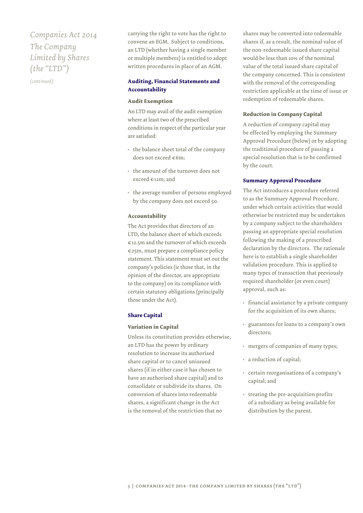# *Companies Act 2014 The Company Limited by Shares (the "LTD")*

*(continued)*

carrying the right to vote has the right to convene an EGM. Subject to conditions, an LTD (whether having a single member or multiple members) is entitled to adopt written procedures in place of an AGM.

# **Auditing, Financial Statements and Accountability**

### **Audit Exemption**

An LTD may avail of the audit exemption where at least two of the prescribed conditions in respect of the particular year are satisfied:

- the balance sheet total of the company does not exceed €6m;
- the amount of the turnover does not exceed €12m; and
- the average number of persons employed by the company does not exceed 50.

### **Accountability**

The Act provides that directors of an LTD, the balance sheet of which exceeds €12.5m and the turnover of which exceeds €25m, must prepare a compliance policy statement. This statement must set out the company's policies (*ie* those that, in the opinion of the director, are appropriate to the company) on its compliance with certain statutory obligations (principally those under the Act).

### **Share Capital**

#### **Variation in Capital**

Unless its constitution provides otherwise, an LTD has the power by ordinary resolution to increase its authorised share capital or to cancel unissued shares (if in either case it has chosen to have an authorised share capital) and to consolidate or subdivide its shares. On conversion of shares into redeemable shares, a significant change in the Act is the removal of the restriction that no

shares may be converted into redeemable shares if, as a result, the nominal value of the non-redeemable issued share capital would be less than 10% of the nominal value of the total issued share capital of the company concerned. This is consistent with the removal of the corresponding restriction applicable at the time of issue or redemption of redeemable shares.

### **Reduction in Company Capital**

A reduction of company capital may be effected by employing the Summary Approval Procedure (below) or by adopting the traditional procedure of passing a special resolution that is to be confirmed by the court.

#### **Summary Approval Procedure**

The Act introduces a procedure referred to as the Summary Approval Procedure, under which certain activities that would otherwise be restricted may be undertaken by a company subject to the shareholders passing an appropriate special resolution following the making of a prescribed declaration by the directors. The rationale here is to establish a single shareholder validation procedure. This is applied to many types of transaction that previously required shareholder (or even court) approval, such as:

- financial assistance by a private company for the acquisition of its own shares;
- guarantees for loans to a company's own directors;
- mergers of companies of many types;
- a reduction of capital;
- certain reorganisations of a company's capital; and
- treating the pre-acquisition profits of a subsidiary as being available for distribution by the parent.